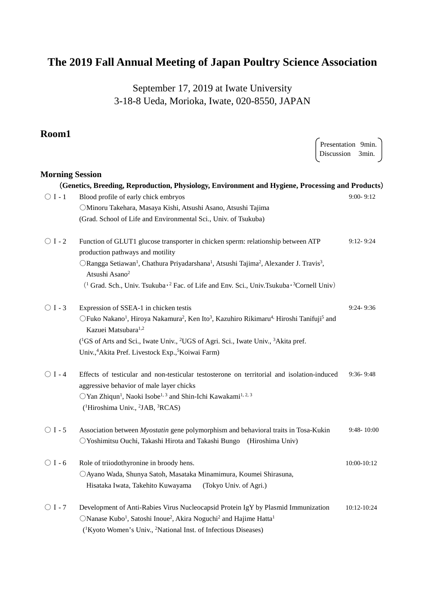# **The 2019 Fall Annual Meeting of Japan Poultry Science Association**

September 17, 2019 at Iwate University 3-18-8 Ueda, Morioka, Iwate, 020-8550, JAPAN

Presentation 9min.

### **Room1**

|                        |                                                                                                                                                                                        | Discussion 3min. |               |
|------------------------|----------------------------------------------------------------------------------------------------------------------------------------------------------------------------------------|------------------|---------------|
| <b>Morning Session</b> |                                                                                                                                                                                        |                  |               |
|                        | (Genetics, Breeding, Reproduction, Physiology, Environment and Hygiene, Processing and Products)                                                                                       |                  |               |
| $\bigcirc$ I - 1       | Blood profile of early chick embryos                                                                                                                                                   |                  | $9:00 - 9:12$ |
|                        | OMinoru Takehara, Masaya Kishi, Atsushi Asano, Atsushi Tajima                                                                                                                          |                  |               |
|                        | (Grad. School of Life and Environmental Sci., Univ. of Tsukuba)                                                                                                                        |                  |               |
| $\bigcirc$ I - 2       | Function of GLUT1 glucose transporter in chicken sperm: relationship between ATP<br>production pathways and motility                                                                   |                  | $9:12 - 9:24$ |
|                        | ORangga Setiawan <sup>1</sup> , Chathura Priyadarshana <sup>1</sup> , Atsushi Tajima <sup>2</sup> , Alexander J. Travis <sup>3</sup> ,<br>Atsushi Asano <sup>2</sup>                   |                  |               |
|                        | <sup>(1</sup> Grad. Sch., Univ. Tsukuba <sup>2</sup> Fac. of Life and Env. Sci., Univ. Tsukuba <sup>3</sup> Cornell Univ)                                                              |                  |               |
| $\bigcirc$ I - 3       | Expression of SSEA-1 in chicken testis                                                                                                                                                 |                  | $9:24 - 9:36$ |
|                        | OFuko Nakano <sup>1</sup> , Hiroya Nakamura <sup>2</sup> , Ken Ito <sup>3</sup> , Kazuhiro Rikimaru <sup>4,</sup> Hiroshi Tanifuji <sup>5</sup> and<br>Kazuei Matsubara <sup>1,2</sup> |                  |               |
|                        | ( <sup>1</sup> GS of Arts and Sci., Iwate Univ., <sup>2</sup> UGS of Agri. Sci., Iwate Univ., <sup>3</sup> Akita pref.                                                                 |                  |               |
|                        | Univ., <sup>4</sup> Akita Pref. Livestock Exp., <sup>5</sup> Koiwai Farm)                                                                                                              |                  |               |
| $\bigcirc$ I - 4       | Effects of testicular and non-testicular testosterone on territorial and isolation-induced<br>aggressive behavior of male layer chicks                                                 |                  | $9:36 - 9:48$ |
|                        | OYan Zhiqun <sup>1</sup> , Naoki Isobe <sup>1, 3</sup> and Shin-Ichi Kawakami <sup>1, 2, 3</sup>                                                                                       |                  |               |
|                        | ( <sup>1</sup> Hiroshima Univ., <sup>2</sup> JAB, <sup>3</sup> RCAS)                                                                                                                   |                  |               |
| $\bigcirc$ I - 5       | Association between Myostatin gene polymorphism and behavioral traits in Tosa-Kukin                                                                                                    |                  | 9:48-10:00    |
|                        | OYoshimitsu Ouchi, Takashi Hirota and Takashi Bungo (Hiroshima Univ)                                                                                                                   |                  |               |
| $\bigcirc$ I - 6       | Role of triiodothyronine in broody hens.                                                                                                                                               |                  | 10:00-10:12   |
|                        | OAyano Wada, Shunya Satoh, Masataka Minamimura, Koumei Shirasuna,                                                                                                                      |                  |               |
|                        | Hisataka Iwata, Takehito Kuwayama<br>(Tokyo Univ. of Agri.)                                                                                                                            |                  |               |
| $\bigcirc$ I - 7       | Development of Anti-Rabies Virus Nucleocapsid Protein IgY by Plasmid Immunization                                                                                                      |                  | 10:12-10:24   |
|                        | ONanase Kubo <sup>1</sup> , Satoshi Inoue <sup>2</sup> , Akira Noguchi <sup>2</sup> and Hajime Hatta <sup>1</sup>                                                                      |                  |               |
|                        | ( <sup>1</sup> Kyoto Women's Univ., <sup>2</sup> National Inst. of Infectious Diseases)                                                                                                |                  |               |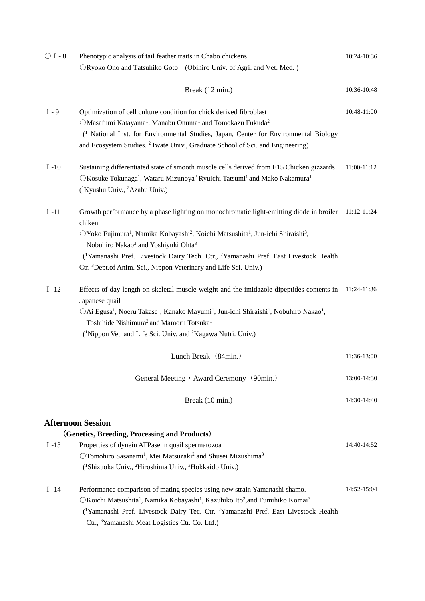| $\bigcirc$ I - 8 | Phenotypic analysis of tail feather traits in Chabo chickens<br>ORyoko Ono and Tatsuhiko Goto (Obihiro Univ. of Agri. and Vet. Med.)                                                                                                                                                                                                                                                                                                                                                                              | 10:24-10:36 |
|------------------|-------------------------------------------------------------------------------------------------------------------------------------------------------------------------------------------------------------------------------------------------------------------------------------------------------------------------------------------------------------------------------------------------------------------------------------------------------------------------------------------------------------------|-------------|
|                  | Break (12 min.)                                                                                                                                                                                                                                                                                                                                                                                                                                                                                                   | 10:36-10:48 |
| $I - 9$          | Optimization of cell culture condition for chick derived fibroblast<br>OMasafumi Katayama <sup>1</sup> , Manabu Onuma <sup>1</sup> and Tomokazu Fukuda <sup>2</sup><br><sup>(1</sup> National Inst. for Environmental Studies, Japan, Center for Environmental Biology<br>and Ecosystem Studies. <sup>2</sup> Iwate Univ., Graduate School of Sci. and Engineering)                                                                                                                                               | 10:48-11:00 |
| $I - 10$         | Sustaining differentiated state of smooth muscle cells derived from E15 Chicken gizzards<br>○Kosuke Tokunaga <sup>1</sup> , Wataru Mizunoya <sup>2</sup> Ryuichi Tatsumi <sup>1</sup> and Mako Nakamura <sup>1</sup><br>( <sup>1</sup> Kyushu Univ., <sup>2</sup> Azabu Univ.)                                                                                                                                                                                                                                    | 11:00-11:12 |
| $I -11$          | Growth performance by a phase lighting on monochromatic light-emitting diode in broiler 11:12-11:24<br>chiken<br>OYoko Fujimura <sup>1</sup> , Namika Kobayashi <sup>2</sup> , Koichi Matsushita <sup>1</sup> , Jun-ichi Shiraishi <sup>3</sup> ,<br>Nobuhiro Nakao <sup>3</sup> and Yoshiyuki Ohta <sup>3</sup><br>( <sup>1</sup> Yamanashi Pref. Livestock Dairy Tech. Ctr., <sup>2</sup> Yamanashi Pref. East Livestock Health<br>Ctr. <sup>3</sup> Dept.of Anim. Sci., Nippon Veterinary and Life Sci. Univ.) |             |
| $I - 12$         | Effects of day length on skeletal muscle weight and the imidazole dipeptides contents in 11:24-11:36<br>Japanese quail<br>OAi Egusa <sup>1</sup> , Noeru Takase <sup>1</sup> , Kanako Mayumi <sup>1</sup> , Jun-ichi Shiraishi <sup>1</sup> , Nobuhiro Nakao <sup>1</sup> ,<br>Toshihide Nishimura <sup>2</sup> and Mamoru Totsuka <sup>1</sup><br>( <sup>1</sup> Nippon Vet. and Life Sci. Univ. and <sup>2</sup> Kagawa Nutri. Univ.)                                                                           |             |
|                  | Lunch Break (84min.)                                                                                                                                                                                                                                                                                                                                                                                                                                                                                              | 11:36-13:00 |
|                  | General Meeting • Award Ceremony (90min.)                                                                                                                                                                                                                                                                                                                                                                                                                                                                         | 13:00-14:30 |
|                  | Break (10 min.)                                                                                                                                                                                                                                                                                                                                                                                                                                                                                                   | 14:30-14:40 |
|                  | <b>Afternoon Session</b><br>(Genetics, Breeding, Processing and Products)                                                                                                                                                                                                                                                                                                                                                                                                                                         |             |
| $I - 13$         | Properties of dynein ATPase in quail spermatozoa<br>OTomohiro Sasanami <sup>1</sup> , Mei Matsuzaki <sup>2</sup> and Shusei Mizushima <sup>3</sup><br>( <sup>1</sup> Shizuoka Univ., <sup>2</sup> Hiroshima Univ., <sup>3</sup> Hokkaido Univ.)                                                                                                                                                                                                                                                                   | 14:40-14:52 |
| $I - 14$         | Performance comparison of mating species using new strain Yamanashi shamo.<br>○Koichi Matsushita <sup>1</sup> , Namika Kobayashi <sup>1</sup> , Kazuhiko Ito <sup>2</sup> , and Fumihiko Komai <sup>3</sup><br>( <sup>1</sup> Yamanashi Pref. Livestock Dairy Tec. Ctr. <sup>2</sup> Yamanashi Pref. East Livestock Health<br>Ctr., <sup>3</sup> Yamanashi Meat Logistics Ctr. Co. Ltd.)                                                                                                                          | 14:52-15:04 |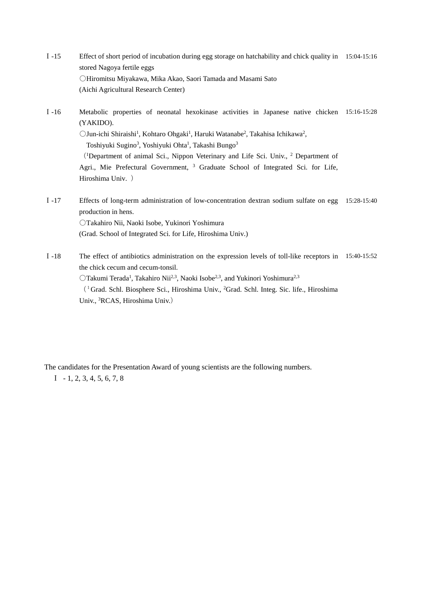- Ⅰ-15 Effect of short period of incubation during egg storage on hatchability and chick quality in 15:04-15:16 stored Nagoya fertile eggs ○Hiromitsu Miyakawa, Mika Akao, Saori Tamada and Masami Sato (Aichi Agricultural Research Center)
- Ⅰ-16 Metabolic properties of neonatal hexokinase activities in Japanese native chicken 15:16-15:28 (YAKIDO). OJun-ichi Shiraishi<sup>1</sup>, Kohtaro Ohgaki<sup>1</sup>, Haruki Watanabe<sup>2</sup>, Takahisa Ichikawa<sup>2</sup>, Toshiyuki Sugino<sup>3</sup>, Yoshiyuki Ohta<sup>1</sup>, Takashi Bungo<sup>3</sup>

(<sup>1</sup> Department of animal Sci., Nippon Veterinary and Life Sci. Univ., 2 Department of Agri., Mie Prefectural Government, <sup>3</sup> Graduate School of Integrated Sci. for Life, Hiroshima Univ. )

Ⅰ-17 Effects of long-term administration of low-concentration dextran sodium sulfate on egg 15:28-15:40 production in hens. ○Takahiro Nii, Naoki Isobe, Yukinori Yoshimura

(Grad. School of Integrated Sci. for Life, Hiroshima Univ.)

Ⅰ-18 The effect of antibiotics administration on the expression levels of toll-like receptors in 15:40-15:52 the chick cecum and cecum-tonsil.

 $O$ Takumi Terada<sup>1</sup>, Takahiro Nii<sup>2,3</sup>, Naoki Isobe<sup>2,3</sup>, and Yukinori Yoshimura<sup>2,3</sup>

(1Grad. Schl. Biosphere Sci., Hiroshima Univ., 2 Grad. Schl. Integ. Sic. life., Hiroshima Univ., 3 RCAS, Hiroshima Univ.)

The candidates for the Presentation Award of young scientists are the following numbers.

 $I - 1, 2, 3, 4, 5, 6, 7, 8$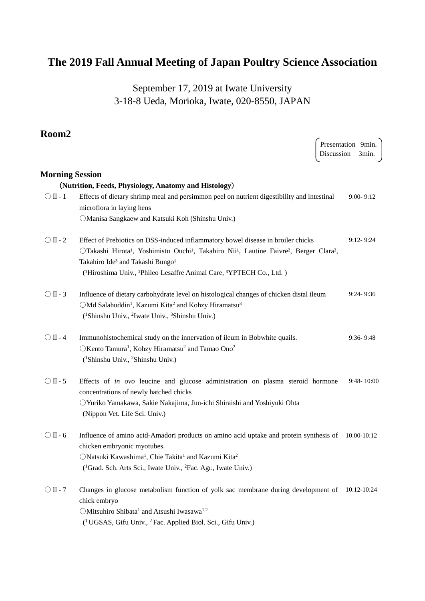# **The 2019 Fall Annual Meeting of Japan Poultry Science Association**

September 17, 2019 at Iwate University 3-18-8 Ueda, Morioka, Iwate, 020-8550, JAPAN

### **Room2**

| NUVIIIZ                |                                                                                                                                                                                                                                                                                                                                                                             | Presentation 9min.<br>Discussion 3min. |                |
|------------------------|-----------------------------------------------------------------------------------------------------------------------------------------------------------------------------------------------------------------------------------------------------------------------------------------------------------------------------------------------------------------------------|----------------------------------------|----------------|
| <b>Morning Session</b> |                                                                                                                                                                                                                                                                                                                                                                             |                                        |                |
|                        | (Nutrition, Feeds, Physiology, Anatomy and Histology)                                                                                                                                                                                                                                                                                                                       |                                        |                |
| $\bigcirc$ II - 1      | Effects of dietary shrimp meal and persimmon peel on nutrient digestibility and intestinal<br>microflora in laying hens<br>OManisa Sangkaew and Katsuki Koh (Shinshu Univ.)                                                                                                                                                                                                 |                                        | $9:00 - 9:12$  |
| $\bigcirc$ II - 2      | Effect of Prebiotics on DSS-induced inflammatory bowel disease in broiler chicks<br>OTakashi Hirota <sup>1</sup> , Yoshimistu Ouchi <sup>1</sup> , Takahiro Nii <sup>1</sup> , Lautine Faivre <sup>2</sup> , Berger Clara <sup>2</sup> ,<br>Takahiro Ide <sup>3</sup> and Takashi Bungo <sup>1</sup><br>('Hiroshima Univ., 'Phileo Lesaffre Animal Care, 'YPTECH Co., Ltd.) |                                        | $9:12 - 9:24$  |
| $\bigcirc$ II - 3      | Influence of dietary carbohydrate level on histological changes of chicken distal ileum<br>○Md Salahuddin <sup>1</sup> , Kazumi Kita <sup>2</sup> and Kohzy Hiramatsu <sup>3</sup><br>( <sup>1</sup> Shinshu Univ., <sup>2</sup> Iwate Univ., <sup>3</sup> Shinshu Univ.)                                                                                                   |                                        | $9:24 - 9:36$  |
| $\bigcirc$ II - 4      | Immunohistochemical study on the innervation of ileum in Bobwhite quails.<br>OKento Tamura <sup>1</sup> , Kohzy Hiramatsu <sup>2</sup> and Tamao Ono <sup>2</sup><br>( <sup>1</sup> Shinshu Univ., <sup>2</sup> Shinshu Univ.)                                                                                                                                              |                                        | 9:36-9:48      |
| $\bigcirc$ II - 5      | Effects of <i>in ovo</i> leucine and glucose administration on plasma steroid hormone<br>concentrations of newly hatched chicks<br>OYuriko Yamakawa, Sakie Nakajima, Jun-ichi Shiraishi and Yoshiyuki Ohta<br>(Nippon Vet. Life Sci. Univ.)                                                                                                                                 |                                        | $9:48 - 10:00$ |
| $\bigcirc$ II - 6      | Influence of amino acid-Amadori products on amino acid uptake and protein synthesis of<br>chicken embryonic myotubes.<br>ONatsuki Kawashima <sup>1</sup> , Chie Takita <sup>1</sup> and Kazumi Kita <sup>2</sup><br>( <sup>1</sup> Grad. Sch. Arts Sci., Iwate Univ., <sup>2</sup> Fac. Agr., Iwate Univ.)                                                                  |                                        | 10:00-10:12    |
| $\bigcirc$ II - 7      | Changes in glucose metabolism function of yolk sac membrane during development of<br>chick embryo<br>OMitsuhiro Shibata <sup>1</sup> and Atsushi Iwasawa <sup>1,2</sup><br>( <sup>1</sup> UGSAS, Gifu Univ., <sup>2</sup> Fac. Applied Biol. Sci., Gifu Univ.)                                                                                                              |                                        | 10:12-10:24    |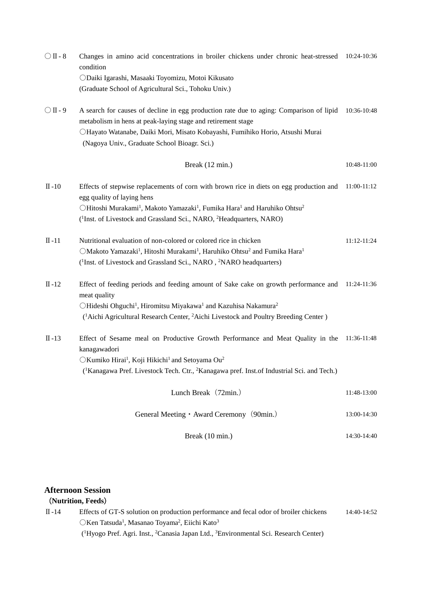| $\bigcirc$ II - 8 | Changes in amino acid concentrations in broiler chickens under chronic heat-stressed 10:24-10:36<br>condition                                                                                                                                                                            |                 |
|-------------------|------------------------------------------------------------------------------------------------------------------------------------------------------------------------------------------------------------------------------------------------------------------------------------------|-----------------|
|                   | ODaiki Igarashi, Masaaki Toyomizu, Motoi Kikusato<br>(Graduate School of Agricultural Sci., Tohoku Univ.)                                                                                                                                                                                |                 |
| $\bigcirc$ II - 9 | A search for causes of decline in egg production rate due to aging: Comparison of lipid<br>metabolism in hens at peak-laying stage and retirement stage<br>OHayato Watanabe, Daiki Mori, Misato Kobayashi, Fumihiko Horio, Atsushi Murai<br>(Nagoya Univ., Graduate School Bioagr. Sci.) | 10:36-10:48     |
|                   | Break (12 min.)                                                                                                                                                                                                                                                                          | 10:48-11:00     |
| $\Pi - 10$        | Effects of stepwise replacements of corn with brown rice in diets on egg production and<br>egg quality of laying hens                                                                                                                                                                    | 11:00-11:12     |
|                   | OHitoshi Murakami <sup>1</sup> , Makoto Yamazaki <sup>1</sup> , Fumika Hara <sup>1</sup> and Haruhiko Ohtsu <sup>2</sup>                                                                                                                                                                 |                 |
|                   | ( <sup>1</sup> Inst. of Livestock and Grassland Sci., NARO, <sup>2</sup> Headquarters, NARO)                                                                                                                                                                                             |                 |
| $\Pi - 11$        | Nutritional evaluation of non-colored or colored rice in chicken                                                                                                                                                                                                                         | $11:12 - 11:24$ |
|                   | OMakoto Yamazaki <sup>1</sup> , Hitoshi Murakami <sup>1</sup> , Haruhiko Ohtsu <sup>2</sup> and Fumika Hara <sup>1</sup>                                                                                                                                                                 |                 |
|                   | ( <sup>1</sup> Inst. of Livestock and Grassland Sci., NARO, <sup>2</sup> NARO headquarters)                                                                                                                                                                                              |                 |
| $\Pi - 12$        | Effect of feeding periods and feeding amount of Sake cake on growth performance and<br>meat quality                                                                                                                                                                                      | 11:24-11:36     |
|                   | OHideshi Ohguchi <sup>1</sup> , Hiromitsu Miyakawa <sup>1</sup> and Kazuhisa Nakamura <sup>2</sup>                                                                                                                                                                                       |                 |
|                   | ( <sup>1</sup> Aichi Agricultural Research Center, <sup>2</sup> Aichi Livestock and Poultry Breeding Center)                                                                                                                                                                             |                 |
| $\Pi - 13$        | Effect of Sesame meal on Productive Growth Performance and Meat Quality in the 11:36-11:48<br>kanagawadori                                                                                                                                                                               |                 |
|                   | ○Kumiko Hirai <sup>1</sup> , Koji Hikichi <sup>1</sup> and Setoyama Ou <sup>2</sup>                                                                                                                                                                                                      |                 |
|                   | ( <sup>1</sup> Kanagawa Pref. Livestock Tech. Ctr., <sup>2</sup> Kanagawa pref. Inst. of Industrial Sci. and Tech.)                                                                                                                                                                      |                 |
|                   | Lunch Break (72min.)                                                                                                                                                                                                                                                                     | 11:48-13:00     |
|                   | General Meeting • Award Ceremony (90min.)                                                                                                                                                                                                                                                | 13:00-14:30     |
|                   | Break (10 min.)                                                                                                                                                                                                                                                                          | 14:30-14:40     |

#### **Afternoon Session**

### (**Nutrition, Feeds**)

Ⅱ-14 Effects of GT-S solution on production performance and fecal odor of broiler chickens OKen Tatsuda<sup>1</sup>, Masanao Toyama<sup>2</sup>, Eiichi Kato<sup>3</sup> ( 1 Hyogo Pref. Agri. Inst., 2 Canasia Japan Ltd., 3 Environmental Sci. Research Center) 14:40-14:52